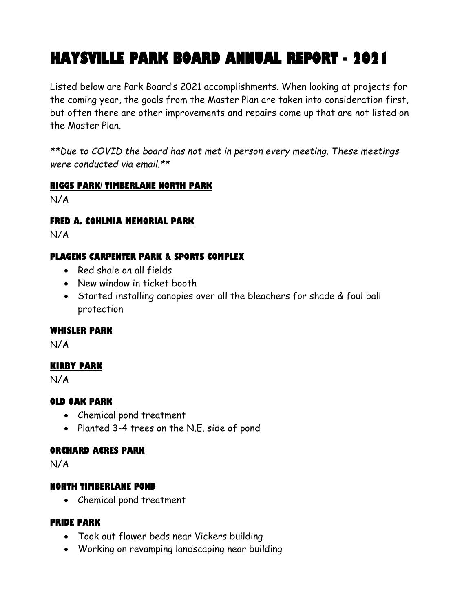# **HAYSVILLE PARK BOARD ANNUAL REPORT - 2021**

Listed below are Park Board's 2021 accomplishments. When looking at projects for the coming year, the goals from the Master Plan are taken into consideration first, but often there are other improvements and repairs come up that are not listed on the Master Plan.

*\*\*Due to COVID the board has not met in person every meeting. These meetings were conducted via email.\*\**

#### **RIGGS PARK/ TIMBERLANE NORTH PARK**

N/A

#### **FRED A. COHLMIA MEMORIAL PARK**

N/A

## **PLAGENS CARPENTER PARK & SPORTS COMPLEX**

- Red shale on all fields
- New window in ticket booth
- Started installing canopies over all the bleachers for shade & foul ball protection

#### **WHISLER PARK**

N/A

#### **KIRBY PARK**

N/A

## **OLD OAK PARK**

- Chemical pond treatment
- Planted 3-4 trees on the N.E. side of pond

#### **ORCHARD ACRES PARK**

N/A

## **NORTH TIMBERLANE POND**

• Chemical pond treatment

#### **PRIDE PARK**

- Took out flower beds near Vickers building
- Working on revamping landscaping near building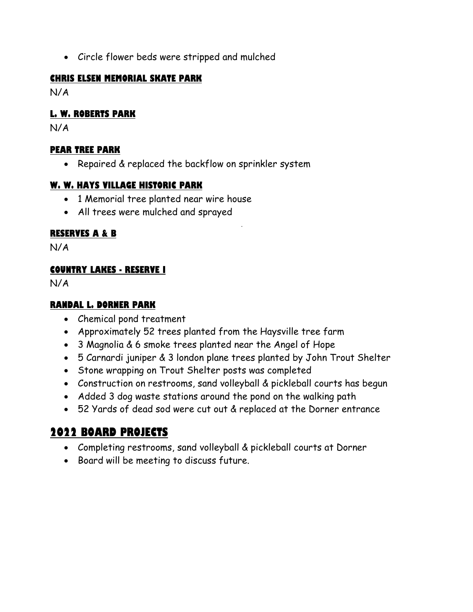• Circle flower beds were stripped and mulched

#### **CHRIS ELSEN MEMORIAL SKATE PARK**

N/A

## **L. W. ROBERTS PARK**

N/A

## **PEAR TREE PARK**

• Repaired & replaced the backflow on sprinkler system

## **W. W. HAYS VILLAGE HISTORIC PARK**

- 1 Memorial tree planted near wire house
- All trees were mulched and sprayed

# **RESERVES A & B**

N/A

## **COUNTRY LAKES - RESERVE I**

N/A

#### **RANDAL L. DORNER PARK**

- Chemical pond treatment
- Approximately 52 trees planted from the Haysville tree farm
- 3 Magnolia & 6 smoke trees planted near the Angel of Hope
- 5 Carnardi juniper & 3 london plane trees planted by John Trout Shelter
- Stone wrapping on Trout Shelter posts was completed
- Construction on restrooms, sand volleyball & pickleball courts has begun
- Added 3 dog waste stations around the pond on the walking path
- 52 Yards of dead sod were cut out & replaced at the Dorner entrance

# **2022 BOARD PROJECTS**

- Completing restrooms, sand volleyball & pickleball courts at Dorner
- Board will be meeting to discuss future.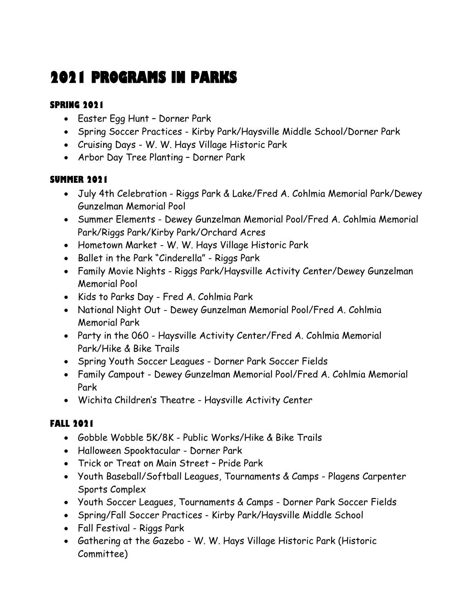# **2021 PROGRAMS IN PARKS**

# **SPRING 2021**

- Easter Egg Hunt Dorner Park
- Spring Soccer Practices Kirby Park/Haysville Middle School/Dorner Park
- Cruising Days W. W. Hays Village Historic Park
- Arbor Day Tree Planting Dorner Park

# **SUMMER 2021**

- July 4th Celebration Riggs Park & Lake/Fred A. Cohlmia Memorial Park/Dewey Gunzelman Memorial Pool
- Summer Elements Dewey Gunzelman Memorial Pool/Fred A. Cohlmia Memorial Park/Riggs Park/Kirby Park/Orchard Acres
- Hometown Market W. W. Hays Village Historic Park
- Ballet in the Park "Cinderella" Riggs Park
- Family Movie Nights Riggs Park/Haysville Activity Center/Dewey Gunzelman Memorial Pool
- Kids to Parks Day Fred A. Cohlmia Park
- National Night Out Dewey Gunzelman Memorial Pool/Fred A. Cohlmia Memorial Park
- Party in the 060 Haysville Activity Center/Fred A. Cohlmia Memorial Park/Hike & Bike Trails
- Spring Youth Soccer Leagues Dorner Park Soccer Fields
- Family Campout Dewey Gunzelman Memorial Pool/Fred A. Cohlmia Memorial Park
- Wichita Children's Theatre Haysville Activity Center

# **FALL 2021**

- Gobble Wobble 5K/8K Public Works/Hike & Bike Trails
- Halloween Spooktacular Dorner Park
- Trick or Treat on Main Street Pride Park
- Youth Baseball/Softball Leagues, Tournaments & Camps Plagens Carpenter Sports Complex
- Youth Soccer Leagues, Tournaments & Camps Dorner Park Soccer Fields
- Spring/Fall Soccer Practices Kirby Park/Haysville Middle School
- Fall Festival Riggs Park
- Gathering at the Gazebo W. W. Hays Village Historic Park (Historic Committee)